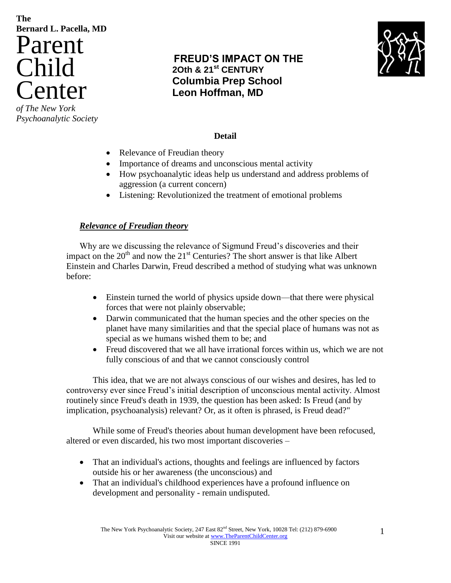# **The Bernard L. Pacella, MD** Parent Child Center

*of The New York Psychoanalytic Society*

## **FREUD'S IMPACT ON THE 2Oth & 21st CENTURY Columbia Prep School Leon Hoffman, MD**



## **Detail**

- Relevance of Freudian theory
- Importance of dreams and unconscious mental activity
- How psychoanalytic ideas help us understand and address problems of aggression (a current concern)
- Listening: Revolutionized the treatment of emotional problems

## *Relevance of Freudian theory*

Why are we discussing the relevance of Sigmund Freud's discoveries and their impact on the  $20<sup>th</sup>$  and now the  $21<sup>st</sup>$  Centuries? The short answer is that like Albert Einstein and Charles Darwin, Freud described a method of studying what was unknown before:

- Einstein turned the world of physics upside down—that there were physical forces that were not plainly observable;
- Darwin communicated that the human species and the other species on the planet have many similarities and that the special place of humans was not as special as we humans wished them to be; and
- Freud discovered that we all have irrational forces within us, which we are not fully conscious of and that we cannot consciously control

This idea, that we are not always conscious of our wishes and desires, has led to controversy ever since Freud's initial description of unconscious mental activity. Almost routinely since Freud's death in 1939, the question has been asked: Is Freud (and by implication, psychoanalysis) relevant? Or, as it often is phrased, is Freud dead?"

While some of Freud's theories about human development have been refocused, altered or even discarded, his two most important discoveries –

- That an individual's actions, thoughts and feelings are influenced by factors outside his or her awareness (the unconscious) and
- That an individual's childhood experiences have a profound influence on development and personality - remain undisputed.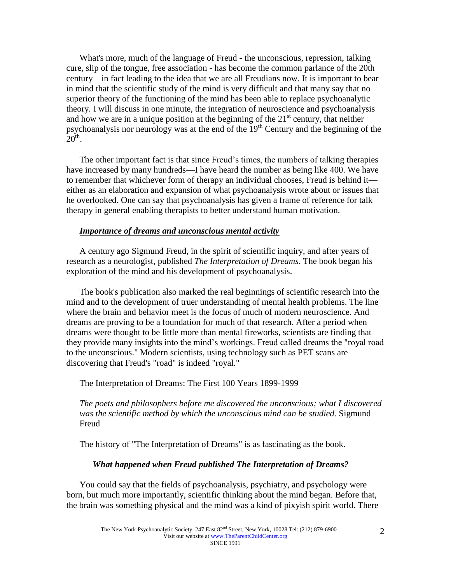What's more, much of the language of Freud - the unconscious, repression, talking cure, slip of the tongue, free association - has become the common parlance of the 20th century—in fact leading to the idea that we are all Freudians now. It is important to bear in mind that the scientific study of the mind is very difficult and that many say that no superior theory of the functioning of the mind has been able to replace psychoanalytic theory. I will discuss in one minute, the integration of neuroscience and psychoanalysis and how we are in a unique position at the beginning of the  $21<sup>st</sup>$  century, that neither psychoanalysis nor neurology was at the end of the 19th Century and the beginning of the  $20<sup>th</sup>$ .

The other important fact is that since Freud's times, the numbers of talking therapies have increased by many hundreds—I have heard the number as being like 400. We have to remember that whichever form of therapy an individual chooses, Freud is behind it either as an elaboration and expansion of what psychoanalysis wrote about or issues that he overlooked. One can say that psychoanalysis has given a frame of reference for talk therapy in general enabling therapists to better understand human motivation.

#### *Importance of dreams and unconscious mental activity*

A century ago Sigmund Freud, in the spirit of scientific inquiry, and after years of research as a neurologist, published *The Interpretation of Dreams.* The book began his exploration of the mind and his development of psychoanalysis.

The book's publication also marked the real beginnings of scientific research into the mind and to the development of truer understanding of mental health problems. The line where the brain and behavior meet is the focus of much of modern neuroscience. And dreams are proving to be a foundation for much of that research. After a period when dreams were thought to be little more than mental fireworks, scientists are finding that they provide many insights into the mind's workings. Freud called dreams the "royal road to the unconscious." Modern scientists, using technology such as PET scans are discovering that Freud's "road" is indeed "royal."

The Interpretation of Dreams: The First 100 Years 1899-1999

*The poets and philosophers before me discovered the unconscious; what I discovered was the scientific method by which the unconscious mind can be studied.* Sigmund Freud

The history of "The Interpretation of Dreams" is as fascinating as the book.

#### *What happened when Freud published The Interpretation of Dreams?*

You could say that the fields of psychoanalysis, psychiatry, and psychology were born, but much more importantly, scientific thinking about the mind began. Before that, the brain was something physical and the mind was a kind of pixyish spirit world. There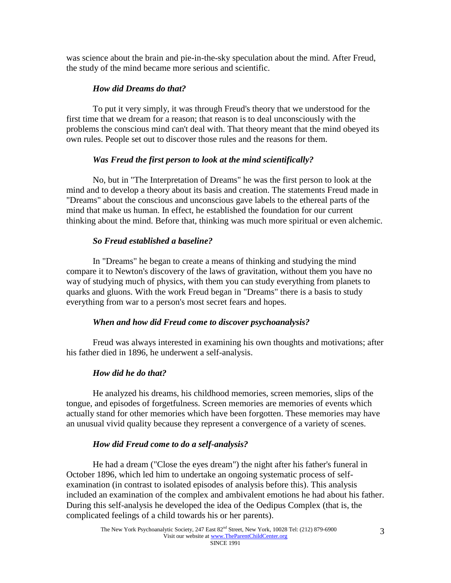was science about the brain and pie-in-the-sky speculation about the mind. After Freud, the study of the mind became more serious and scientific.

## *How did Dreams do that?*

To put it very simply, it was through Freud's theory that we understood for the first time that we dream for a reason; that reason is to deal unconsciously with the problems the conscious mind can't deal with. That theory meant that the mind obeyed its own rules. People set out to discover those rules and the reasons for them.

## *Was Freud the first person to look at the mind scientifically?*

No, but in "The Interpretation of Dreams" he was the first person to look at the mind and to develop a theory about its basis and creation. The statements Freud made in "Dreams" about the conscious and unconscious gave labels to the ethereal parts of the mind that make us human. In effect, he established the foundation for our current thinking about the mind. Before that, thinking was much more spiritual or even alchemic.

## *So Freud established a baseline?*

In "Dreams" he began to create a means of thinking and studying the mind compare it to Newton's discovery of the laws of gravitation, without them you have no way of studying much of physics, with them you can study everything from planets to quarks and gluons. With the work Freud began in "Dreams" there is a basis to study everything from war to a person's most secret fears and hopes.

#### *When and how did Freud come to discover psychoanalysis?*

Freud was always interested in examining his own thoughts and motivations; after his father died in 1896, he underwent a self-analysis.

## *How did he do that?*

He analyzed his dreams, his childhood memories, screen memories, slips of the tongue, and episodes of forgetfulness. Screen memories are memories of events which actually stand for other memories which have been forgotten. These memories may have an unusual vivid quality because they represent a convergence of a variety of scenes.

#### *How did Freud come to do a self-analysis?*

He had a dream ("Close the eyes dream") the night after his father's funeral in October 1896, which led him to undertake an ongoing systematic process of selfexamination (in contrast to isolated episodes of analysis before this). This analysis included an examination of the complex and ambivalent emotions he had about his father. During this self-analysis he developed the idea of the Oedipus Complex (that is, the complicated feelings of a child towards his or her parents).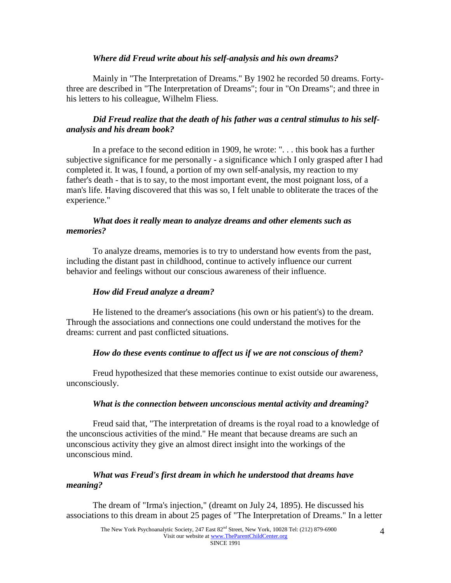#### *Where did Freud write about his self-analysis and his own dreams?*

Mainly in "The Interpretation of Dreams." By 1902 he recorded 50 dreams. Fortythree are described in "The Interpretation of Dreams"; four in "On Dreams"; and three in his letters to his colleague, Wilhelm Fliess.

## *Did Freud realize that the death of his father was a central stimulus to his selfanalysis and his dream book?*

In a preface to the second edition in 1909, he wrote: ". . . this book has a further subjective significance for me personally - a significance which I only grasped after I had completed it. It was, I found, a portion of my own self-analysis, my reaction to my father's death - that is to say, to the most important event, the most poignant loss, of a man's life. Having discovered that this was so, I felt unable to obliterate the traces of the experience."

## *What does it really mean to analyze dreams and other elements such as memories?*

To analyze dreams, memories is to try to understand how events from the past, including the distant past in childhood, continue to actively influence our current behavior and feelings without our conscious awareness of their influence.

#### *How did Freud analyze a dream?*

He listened to the dreamer's associations (his own or his patient's) to the dream. Through the associations and connections one could understand the motives for the dreams: current and past conflicted situations.

#### *How do these events continue to affect us if we are not conscious of them?*

Freud hypothesized that these memories continue to exist outside our awareness, unconsciously.

#### *What is the connection between unconscious mental activity and dreaming?*

Freud said that, "The interpretation of dreams is the royal road to a knowledge of the unconscious activities of the mind." He meant that because dreams are such an unconscious activity they give an almost direct insight into the workings of the unconscious mind.

#### *What was Freud's first dream in which he understood that dreams have meaning?*

The dream of "Irma's injection," (dreamt on July 24, 1895). He discussed his associations to this dream in about 25 pages of "The Interpretation of Dreams." In a letter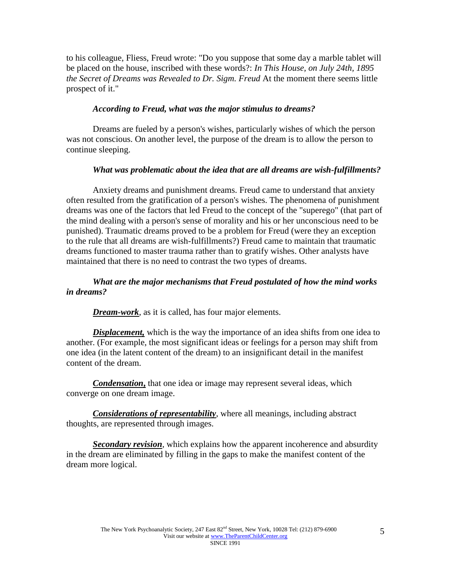to his colleague, Fliess, Freud wrote: "Do you suppose that some day a marble tablet will be placed on the house, inscribed with these words?: *In This House, on July 24th, 1895 the Secret of Dreams was Revealed to Dr. Sigm. Freud* At the moment there seems little prospect of it."

#### *According to Freud, what was the major stimulus to dreams?*

Dreams are fueled by a person's wishes, particularly wishes of which the person was not conscious. On another level, the purpose of the dream is to allow the person to continue sleeping.

#### *What was problematic about the idea that are all dreams are wish-fulfillments?*

Anxiety dreams and punishment dreams. Freud came to understand that anxiety often resulted from the gratification of a person's wishes. The phenomena of punishment dreams was one of the factors that led Freud to the concept of the "superego" (that part of the mind dealing with a person's sense of morality and his or her unconscious need to be punished). Traumatic dreams proved to be a problem for Freud (were they an exception to the rule that all dreams are wish-fulfillments?) Freud came to maintain that traumatic dreams functioned to master trauma rather than to gratify wishes. Other analysts have maintained that there is no need to contrast the two types of dreams.

## *What are the major mechanisms that Freud postulated of how the mind works in dreams?*

*Dream-work*, as it is called, has four major elements.

*Displacement,* which is the way the importance of an idea shifts from one idea to another. (For example, the most significant ideas or feelings for a person may shift from one idea (in the latent content of the dream) to an insignificant detail in the manifest content of the dream.

*Condensation***,** that one idea or image may represent several ideas, which converge on one dream image.

*Considerations of representability*, where all meanings, including abstract thoughts, are represented through images.

*Secondary revision*, which explains how the apparent incoherence and absurdity in the dream are eliminated by filling in the gaps to make the manifest content of the dream more logical.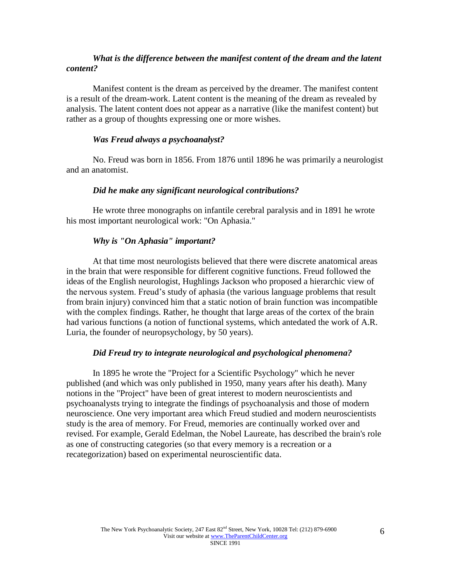#### *What is the difference between the manifest content of the dream and the latent content?*

Manifest content is the dream as perceived by the dreamer. The manifest content is a result of the dream-work. Latent content is the meaning of the dream as revealed by analysis. The latent content does not appear as a narrative (like the manifest content) but rather as a group of thoughts expressing one or more wishes.

#### *Was Freud always a psychoanalyst?*

No. Freud was born in 1856. From 1876 until 1896 he was primarily a neurologist and an anatomist.

#### *Did he make any significant neurological contributions?*

He wrote three monographs on infantile cerebral paralysis and in 1891 he wrote his most important neurological work: "On Aphasia."

#### *Why is "On Aphasia" important?*

At that time most neurologists believed that there were discrete anatomical areas in the brain that were responsible for different cognitive functions. Freud followed the ideas of the English neurologist, Hughlings Jackson who proposed a hierarchic view of the nervous system. Freud's study of aphasia (the various language problems that result from brain injury) convinced him that a static notion of brain function was incompatible with the complex findings. Rather, he thought that large areas of the cortex of the brain had various functions (a notion of functional systems, which antedated the work of A.R. Luria, the founder of neuropsychology, by 50 years).

#### *Did Freud try to integrate neurological and psychological phenomena?*

In 1895 he wrote the "Project for a Scientific Psychology" which he never published (and which was only published in 1950, many years after his death). Many notions in the "Project" have been of great interest to modern neuroscientists and psychoanalysts trying to integrate the findings of psychoanalysis and those of modern neuroscience. One very important area which Freud studied and modern neuroscientists study is the area of memory. For Freud, memories are continually worked over and revised. For example, Gerald Edelman, the Nobel Laureate, has described the brain's role as one of constructing categories (so that every memory is a recreation or a recategorization) based on experimental neuroscientific data.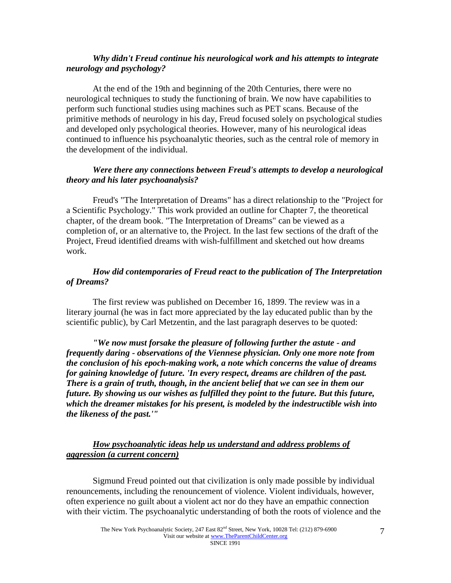#### *Why didn't Freud continue his neurological work and his attempts to integrate neurology and psychology?*

At the end of the 19th and beginning of the 20th Centuries, there were no neurological techniques to study the functioning of brain. We now have capabilities to perform such functional studies using machines such as PET scans. Because of the primitive methods of neurology in his day, Freud focused solely on psychological studies and developed only psychological theories. However, many of his neurological ideas continued to influence his psychoanalytic theories, such as the central role of memory in the development of the individual.

## *Were there any connections between Freud's attempts to develop a neurological theory and his later psychoanalysis?*

Freud's "The Interpretation of Dreams" has a direct relationship to the "Project for a Scientific Psychology." This work provided an outline for Chapter 7, the theoretical chapter, of the dream book. "The Interpretation of Dreams" can be viewed as a completion of, or an alternative to, the Project. In the last few sections of the draft of the Project, Freud identified dreams with wish-fulfillment and sketched out how dreams work.

## *How did contemporaries of Freud react to the publication of The Interpretation of Dreams?*

The first review was published on December 16, 1899. The review was in a literary journal (he was in fact more appreciated by the lay educated public than by the scientific public), by Carl Metzentin, and the last paragraph deserves to be quoted:

*"We now must forsake the pleasure of following further the astute - and frequently daring - observations of the Viennese physician. Only one more note from the conclusion of his epoch-making work, a note which concerns the value of dreams for gaining knowledge of future. 'In every respect, dreams are children of the past. There is a grain of truth, though, in the ancient belief that we can see in them our future. By showing us our wishes as fulfilled they point to the future. But this future, which the dreamer mistakes for his present, is modeled by the indestructible wish into the likeness of the past.'"* 

## *How psychoanalytic ideas help us understand and address problems of aggression (a current concern)*

Sigmund Freud pointed out that civilization is only made possible by individual renouncements, including the renouncement of violence. Violent individuals, however, often experience no guilt about a violent act nor do they have an empathic connection with their victim. The psychoanalytic understanding of both the roots of violence and the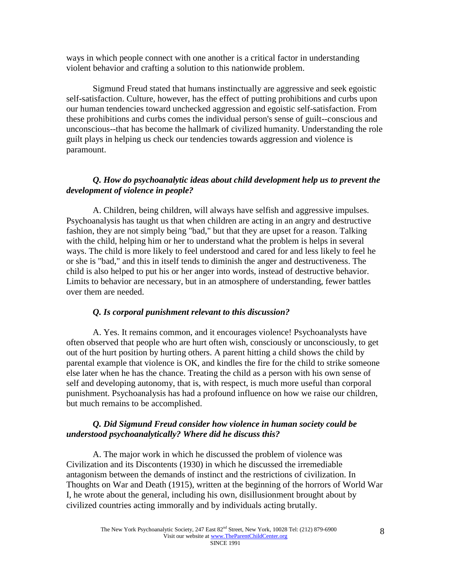ways in which people connect with one another is a critical factor in understanding violent behavior and crafting a solution to this nationwide problem.

Sigmund Freud stated that humans instinctually are aggressive and seek egoistic self-satisfaction. Culture, however, has the effect of putting prohibitions and curbs upon our human tendencies toward unchecked aggression and egoistic self-satisfaction. From these prohibitions and curbs comes the individual person's sense of guilt--conscious and unconscious--that has become the hallmark of civilized humanity. Understanding the role guilt plays in helping us check our tendencies towards aggression and violence is paramount.

#### *Q. How do psychoanalytic ideas about child development help us to prevent the development of violence in people?*

A. Children, being children, will always have selfish and aggressive impulses. Psychoanalysis has taught us that when children are acting in an angry and destructive fashion, they are not simply being "bad," but that they are upset for a reason. Talking with the child, helping him or her to understand what the problem is helps in several ways. The child is more likely to feel understood and cared for and less likely to feel he or she is "bad," and this in itself tends to diminish the anger and destructiveness. The child is also helped to put his or her anger into words, instead of destructive behavior. Limits to behavior are necessary, but in an atmosphere of understanding, fewer battles over them are needed.

#### *Q. Is corporal punishment relevant to this discussion?*

A. Yes. It remains common, and it encourages violence! Psychoanalysts have often observed that people who are hurt often wish, consciously or unconsciously, to get out of the hurt position by hurting others. A parent hitting a child shows the child by parental example that violence is OK, and kindles the fire for the child to strike someone else later when he has the chance. Treating the child as a person with his own sense of self and developing autonomy, that is, with respect, is much more useful than corporal punishment. Psychoanalysis has had a profound influence on how we raise our children, but much remains to be accomplished.

#### *Q. Did Sigmund Freud consider how violence in human society could be understood psychoanalytically? Where did he discuss this?*

A. The major work in which he discussed the problem of violence was Civilization and its Discontents (1930) in which he discussed the irremediable antagonism between the demands of instinct and the restrictions of civilization. In Thoughts on War and Death (1915), written at the beginning of the horrors of World War I, he wrote about the general, including his own, disillusionment brought about by civilized countries acting immorally and by individuals acting brutally.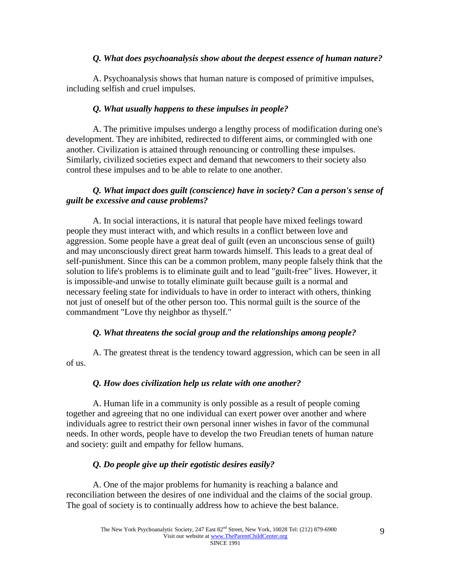## *Q. What does psychoanalysis show about the deepest essence of human nature?*

A. Psychoanalysis shows that human nature is composed of primitive impulses, including selfish and cruel impulses.

## *Q. What usually happens to these impulses in people?*

A. The primitive impulses undergo a lengthy process of modification during one's development. They are inhibited, redirected to different aims, or commingled with one another. Civilization is attained through renouncing or controlling these impulses. Similarly, civilized societies expect and demand that newcomers to their society also control these impulses and to be able to relate to one another.

## *Q. What impact does guilt (conscience) have in society? Can a person's sense of guilt be excessive and cause problems?*

A. In social interactions, it is natural that people have mixed feelings toward people they must interact with, and which results in a conflict between love and aggression. Some people have a great deal of guilt (even an unconscious sense of guilt) and may unconsciously direct great harm towards himself. This leads to a great deal of self-punishment. Since this can be a common problem, many people falsely think that the solution to life's problems is to eliminate guilt and to lead "guilt-free" lives. However, it is impossible-and unwise to totally eliminate guilt because guilt is a normal and necessary feeling state for individuals to have in order to interact with others, thinking not just of oneself but of the other person too. This normal guilt is the source of the commandment "Love thy neighbor as thyself."

## *Q. What threatens the social group and the relationships among people?*

A. The greatest threat is the tendency toward aggression, which can be seen in all of us.

#### *Q. How does civilization help us relate with one another?*

A. Human life in a community is only possible as a result of people coming together and agreeing that no one individual can exert power over another and where individuals agree to restrict their own personal inner wishes in favor of the communal needs. In other words, people have to develop the two Freudian tenets of human nature and society: guilt and empathy for fellow humans.

## *Q. Do people give up their egotistic desires easily?*

A. One of the major problems for humanity is reaching a balance and reconciliation between the desires of one individual and the claims of the social group. The goal of society is to continually address how to achieve the best balance.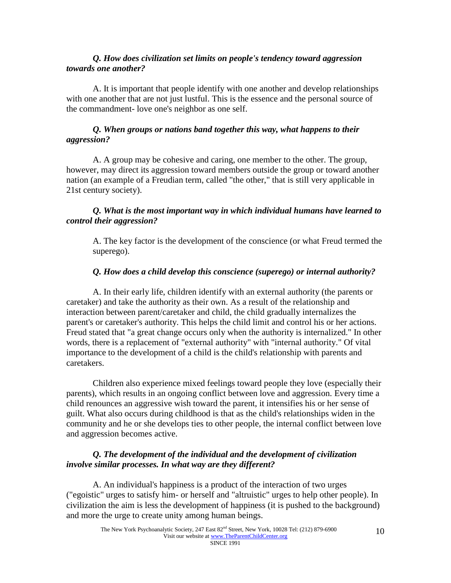### *Q. How does civilization set limits on people's tendency toward aggression towards one another?*

A. It is important that people identify with one another and develop relationships with one another that are not just lustful. This is the essence and the personal source of the commandment- love one's neighbor as one self.

#### *Q. When groups or nations band together this way, what happens to their aggression?*

A. A group may be cohesive and caring, one member to the other. The group, however, may direct its aggression toward members outside the group or toward another nation (an example of a Freudian term, called "the other," that is still very applicable in 21st century society).

## *Q. What is the most important way in which individual humans have learned to control their aggression?*

A. The key factor is the development of the conscience (or what Freud termed the superego).

## *Q. How does a child develop this conscience (superego) or internal authority?*

A. In their early life, children identify with an external authority (the parents or caretaker) and take the authority as their own. As a result of the relationship and interaction between parent/caretaker and child, the child gradually internalizes the parent's or caretaker's authority. This helps the child limit and control his or her actions. Freud stated that "a great change occurs only when the authority is internalized." In other words, there is a replacement of "external authority" with "internal authority." Of vital importance to the development of a child is the child's relationship with parents and caretakers.

Children also experience mixed feelings toward people they love (especially their parents), which results in an ongoing conflict between love and aggression. Every time a child renounces an aggressive wish toward the parent, it intensifies his or her sense of guilt. What also occurs during childhood is that as the child's relationships widen in the community and he or she develops ties to other people, the internal conflict between love and aggression becomes active.

## *Q. The development of the individual and the development of civilization involve similar processes. In what way are they different?*

A. An individual's happiness is a product of the interaction of two urges ("egoistic" urges to satisfy him- or herself and "altruistic" urges to help other people). In civilization the aim is less the development of happiness (it is pushed to the background) and more the urge to create unity among human beings.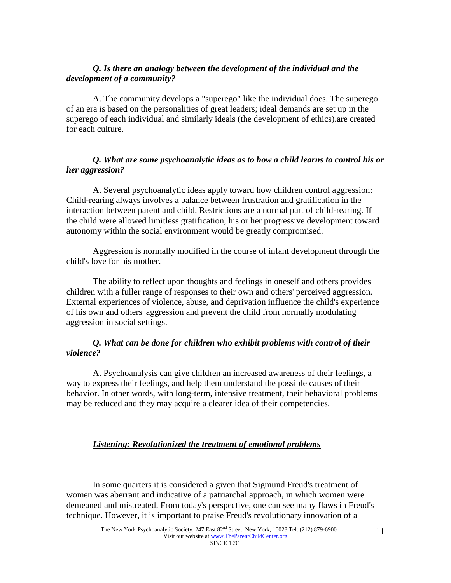## *Q. Is there an analogy between the development of the individual and the development of a community?*

A. The community develops a "superego" like the individual does. The superego of an era is based on the personalities of great leaders; ideal demands are set up in the superego of each individual and similarly ideals (the development of ethics).are created for each culture.

## *Q. What are some psychoanalytic ideas as to how a child learns to control his or her aggression?*

A. Several psychoanalytic ideas apply toward how children control aggression: Child-rearing always involves a balance between frustration and gratification in the interaction between parent and child. Restrictions are a normal part of child-rearing. If the child were allowed limitless gratification, his or her progressive development toward autonomy within the social environment would be greatly compromised.

Aggression is normally modified in the course of infant development through the child's love for his mother.

The ability to reflect upon thoughts and feelings in oneself and others provides children with a fuller range of responses to their own and others' perceived aggression. External experiences of violence, abuse, and deprivation influence the child's experience of his own and others' aggression and prevent the child from normally modulating aggression in social settings.

## *Q. What can be done for children who exhibit problems with control of their violence?*

A. Psychoanalysis can give children an increased awareness of their feelings, a way to express their feelings, and help them understand the possible causes of their behavior. In other words, with long-term, intensive treatment, their behavioral problems may be reduced and they may acquire a clearer idea of their competencies.

#### *Listening: Revolutionized the treatment of emotional problems*

In some quarters it is considered a given that Sigmund Freud's treatment of women was aberrant and indicative of a patriarchal approach, in which women were demeaned and mistreated. From today's perspective, one can see many flaws in Freud's technique. However, it is important to praise Freud's revolutionary innovation of a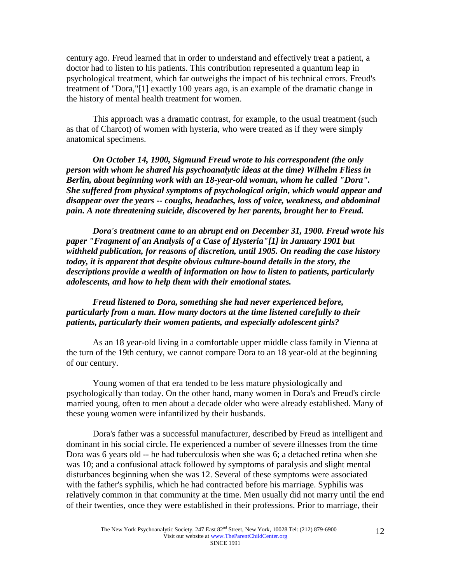century ago. Freud learned that in order to understand and effectively treat a patient, a doctor had to listen to his patients. This contribution represented a quantum leap in psychological treatment, which far outweighs the impact of his technical errors. Freud's treatment of "Dora,"[1] exactly 100 years ago, is an example of the dramatic change in the history of mental health treatment for women.

This approach was a dramatic contrast, for example, to the usual treatment (such as that of Charcot) of women with hysteria, who were treated as if they were simply anatomical specimens.

*On October 14, 1900, Sigmund Freud wrote to his correspondent (the only person with whom he shared his psychoanalytic ideas at the time) Wilhelm Fliess in Berlin, about beginning work with an 18-year-old woman, whom he called "Dora". She suffered from physical symptoms of psychological origin, which would appear and disappear over the years -- coughs, headaches, loss of voice, weakness, and abdominal pain. A note threatening suicide, discovered by her parents, brought her to Freud.* 

*Dora's treatment came to an abrupt end on December 31, 1900. Freud wrote his paper "Fragment of an Analysis of a Case of Hysteria"[1] in January 1901 but withheld publication, for reasons of discretion, until 1905. On reading the case history today, it is apparent that despite obvious culture-bound details in the story, the descriptions provide a wealth of information on how to listen to patients, particularly adolescents, and how to help them with their emotional states.*

### *Freud listened to Dora, something she had never experienced before, particularly from a man. How many doctors at the time listened carefully to their patients, particularly their women patients, and especially adolescent girls?*

As an 18 year-old living in a comfortable upper middle class family in Vienna at the turn of the 19th century, we cannot compare Dora to an 18 year-old at the beginning of our century.

Young women of that era tended to be less mature physiologically and psychologically than today. On the other hand, many women in Dora's and Freud's circle married young, often to men about a decade older who were already established. Many of these young women were infantilized by their husbands.

Dora's father was a successful manufacturer, described by Freud as intelligent and dominant in his social circle. He experienced a number of severe illnesses from the time Dora was 6 years old -- he had tuberculosis when she was 6; a detached retina when she was 10; and a confusional attack followed by symptoms of paralysis and slight mental disturbances beginning when she was 12. Several of these symptoms were associated with the father's syphilis, which he had contracted before his marriage. Syphilis was relatively common in that community at the time. Men usually did not marry until the end of their twenties, once they were established in their professions. Prior to marriage, their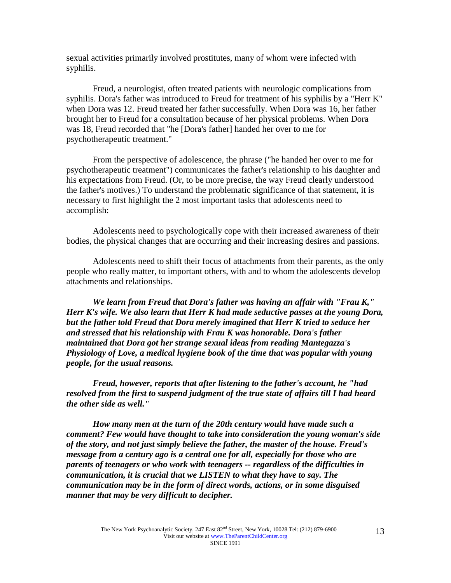sexual activities primarily involved prostitutes, many of whom were infected with syphilis.

Freud, a neurologist, often treated patients with neurologic complications from syphilis. Dora's father was introduced to Freud for treatment of his syphilis by a "Herr K" when Dora was 12. Freud treated her father successfully. When Dora was 16, her father brought her to Freud for a consultation because of her physical problems. When Dora was 18, Freud recorded that "he [Dora's father] handed her over to me for psychotherapeutic treatment."

From the perspective of adolescence, the phrase ("he handed her over to me for psychotherapeutic treatment") communicates the father's relationship to his daughter and his expectations from Freud. (Or, to be more precise, the way Freud clearly understood the father's motives.) To understand the problematic significance of that statement, it is necessary to first highlight the 2 most important tasks that adolescents need to accomplish:

Adolescents need to psychologically cope with their increased awareness of their bodies, the physical changes that are occurring and their increasing desires and passions.

Adolescents need to shift their focus of attachments from their parents, as the only people who really matter, to important others, with and to whom the adolescents develop attachments and relationships.

*We learn from Freud that Dora's father was having an affair with "Frau K," Herr K's wife. We also learn that Herr K had made seductive passes at the young Dora, but the father told Freud that Dora merely imagined that Herr K tried to seduce her and stressed that his relationship with Frau K was honorable. Dora's father maintained that Dora got her strange sexual ideas from reading Mantegazza's Physiology of Love, a medical hygiene book of the time that was popular with young people, for the usual reasons.*

*Freud, however, reports that after listening to the father's account, he "had resolved from the first to suspend judgment of the true state of affairs till I had heard the other side as well."*

*How many men at the turn of the 20th century would have made such a comment? Few would have thought to take into consideration the young woman's side of the story, and not just simply believe the father, the master of the house. Freud's message from a century ago is a central one for all, especially for those who are parents of teenagers or who work with teenagers -- regardless of the difficulties in communication, it is crucial that we LISTEN to what they have to say. The communication may be in the form of direct words, actions, or in some disguised manner that may be very difficult to decipher.*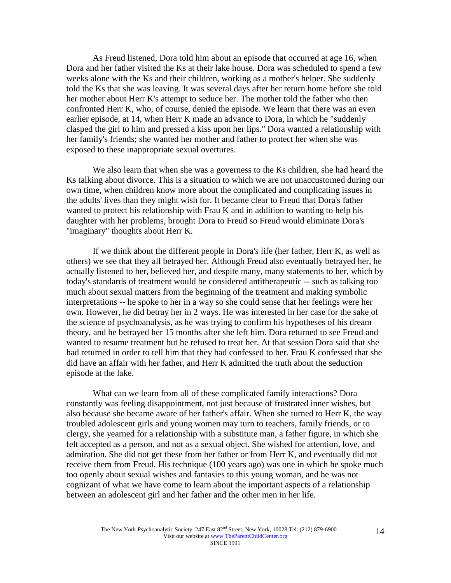As Freud listened, Dora told him about an episode that occurred at age 16, when Dora and her father visited the Ks at their lake house. Dora was scheduled to spend a few weeks alone with the Ks and their children, working as a mother's helper. She suddenly told the Ks that she was leaving. It was several days after her return home before she told her mother about Herr K's attempt to seduce her. The mother told the father who then confronted Herr K, who, of course, denied the episode. We learn that there was an even earlier episode, at 14, when Herr K made an advance to Dora, in which he "suddenly clasped the girl to him and pressed a kiss upon her lips." Dora wanted a relationship with her family's friends; she wanted her mother and father to protect her when she was exposed to these inappropriate sexual overtures.

We also learn that when she was a governess to the Ks children, she had heard the Ks talking about divorce. This is a situation to which we are not unaccustomed during our own time, when children know more about the complicated and complicating issues in the adults' lives than they might wish for. It became clear to Freud that Dora's father wanted to protect his relationship with Frau K and in addition to wanting to help his daughter with her problems, brought Dora to Freud so Freud would eliminate Dora's "imaginary" thoughts about Herr K.

If we think about the different people in Dora's life (her father, Herr K, as well as others) we see that they all betrayed her. Although Freud also eventually betrayed her, he actually listened to her, believed her, and despite many, many statements to her, which by today's standards of treatment would be considered antitherapeutic -- such as talking too much about sexual matters from the beginning of the treatment and making symbolic interpretations -- he spoke to her in a way so she could sense that her feelings were her own. However, he did betray her in 2 ways. He was interested in her case for the sake of the science of psychoanalysis, as he was trying to confirm his hypotheses of his dream theory, and he betrayed her 15 months after she left him. Dora returned to see Freud and wanted to resume treatment but he refused to treat her. At that session Dora said that she had returned in order to tell him that they had confessed to her. Frau K confessed that she did have an affair with her father, and Herr K admitted the truth about the seduction episode at the lake.

What can we learn from all of these complicated family interactions? Dora constantly was feeling disappointment, not just because of frustrated inner wishes, but also because she became aware of her father's affair. When she turned to Herr K, the way troubled adolescent girls and young women may turn to teachers, family friends, or to clergy, she yearned for a relationship with a substitute man, a father figure, in which she felt accepted as a person, and not as a sexual object. She wished for attention, love, and admiration. She did not get these from her father or from Herr K, and eventually did not receive them from Freud. His technique (100 years ago) was one in which he spoke much too openly about sexual wishes and fantasies to this young woman, and he was not cognizant of what we have come to learn about the important aspects of a relationship between an adolescent girl and her father and the other men in her life.